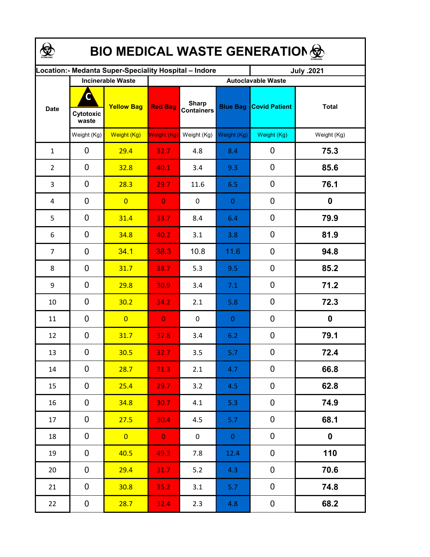| <b>BIO MEDICAL WASTE GENERATION </b>                  |                          |                   |                           |                                   |                  |                      |                  |  |  |  |
|-------------------------------------------------------|--------------------------|-------------------|---------------------------|-----------------------------------|------------------|----------------------|------------------|--|--|--|
| ocation: - Medanta Super-Speciality Hospital - Indore |                          |                   |                           |                                   |                  | July .2021           |                  |  |  |  |
|                                                       | <b>Incinerable Waste</b> |                   | <b>Autoclavable Waste</b> |                                   |                  |                      |                  |  |  |  |
| <b>Date</b>                                           | C<br>Cytotoxic<br>waste  | <b>Yellow Bag</b> | <b>Red Bag</b>            | <b>Sharp</b><br><b>Containers</b> | <b>Blue Bag</b>  | <b>Covid Patient</b> | <b>Total</b>     |  |  |  |
|                                                       | Weight (Kg)              | Weight (Kg)       | Weight (Kg)               | Weight (Kg)                       | Weight (Kg)      | Weight (Kg)          | Weight (Kg)      |  |  |  |
| $\mathbf{1}$                                          | 0                        | 29.4              | 32.7                      | 4.8                               | 8.4              | $\mathbf 0$          | 75.3             |  |  |  |
| $\overline{2}$                                        | 0                        | 32.8              | 40.1                      | 3.4                               | 9.3              | 0                    | 85.6             |  |  |  |
| 3                                                     | 0                        | 28.3              | 29.7                      | 11.6                              | 6.5              | $\mathbf 0$          | 76.1             |  |  |  |
| 4                                                     | 0                        | $\overline{0}$    | $\overline{0}$            | $\mathbf 0$                       | $\overline{0}$   | 0                    | $\boldsymbol{0}$ |  |  |  |
| 5                                                     | 0                        | 31.4              | 33.7                      | 8.4                               | 6.4              | $\mathbf 0$          | 79.9             |  |  |  |
| 6                                                     | $\mathbf 0$              | 34.8              | 40.2                      | 3.1                               | 3.8              | $\mathbf 0$          | 81.9             |  |  |  |
| $\overline{7}$                                        | $\mathbf 0$              | 34.1              | 38.3                      | 10.8                              | 11.6             | $\mathbf 0$          | 94.8             |  |  |  |
| 8                                                     | 0                        | 31.7              | 38.7                      | 5.3                               | 9.5              | $\mathbf 0$          | 85.2             |  |  |  |
| 9                                                     | 0                        | 29.8              | 30.9                      | 3.4                               | 7.1              | 0                    | 71.2             |  |  |  |
| 10                                                    | 0                        | 30.2              | 34.2                      | 2.1                               | 5.8              | 0                    | 72.3             |  |  |  |
| 11                                                    | 0                        | $\overline{0}$    | $\overline{0}$            | $\mathbf 0$                       | $\boldsymbol{0}$ | $\mathbf 0$          | 0                |  |  |  |
| 12                                                    | $\mathbf 0$              | 31.7              | 37.8                      | 3.4                               | 6.2              | $\mathbf 0$          | 79.1             |  |  |  |
| 13                                                    | 0                        | 30.5              | 32.7                      | 3.5                               | 5.7              | $\mathbf 0$          | 72.4             |  |  |  |
| 14                                                    | 0                        | 28.7              | 31.3                      | 2.1                               | 4.7              | $\mathbf 0$          | 66.8             |  |  |  |
| 15                                                    | 0                        | 25.4              | 29.7                      | 3.2                               | 4.5              | $\mathbf 0$          | 62.8             |  |  |  |
| 16                                                    | 0                        | 34.8              | 30.7                      | 4.1                               | 5.3              | $\mathbf 0$          | 74.9             |  |  |  |
| 17                                                    | 0                        | 27.5              | 30.4                      | 4.5                               | 5.7              | $\mathbf 0$          | 68.1             |  |  |  |
| 18                                                    | 0                        | $\overline{0}$    | $\mathbf{0}$              | $\mathbf 0$                       | $\overline{0}$   | $\mathbf 0$          | $\pmb{0}$        |  |  |  |
| 19                                                    | 0                        | 40.5              | 49.3                      | 7.8                               | 12.4             | $\mathbf 0$          | 110              |  |  |  |
| 20                                                    | 0                        | 29.4              | 31.7                      | 5.2                               | 4.3              | $\mathbf 0$          | 70.6             |  |  |  |
| 21                                                    | 0                        | 30.8              | 35.2                      | 3.1                               | 5.7              | $\mathbf 0$          | 74.8             |  |  |  |
| 22                                                    | 0                        | 28.7              | 32.4                      | 2.3                               | 4.8              | $\pmb{0}$            | 68.2             |  |  |  |